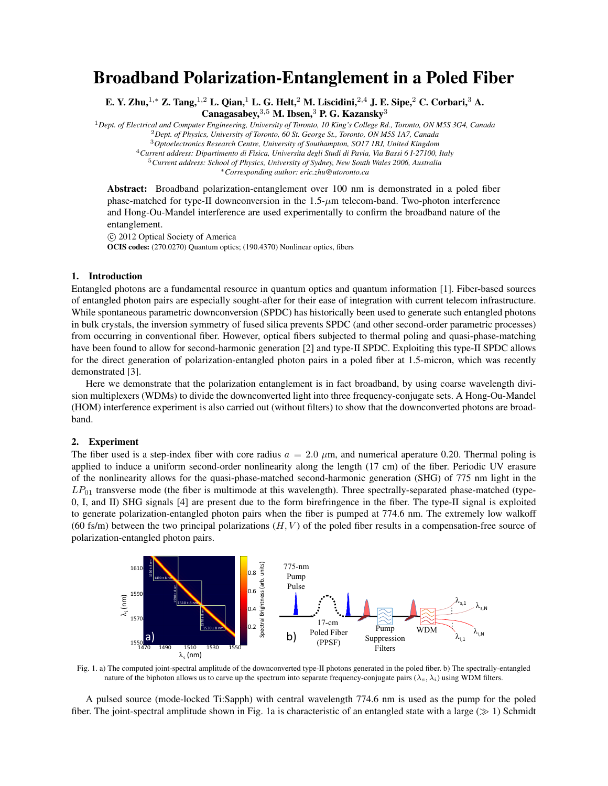## Broadband Polarization-Entanglement in a Poled Fiber

E. Y. Zhu,<sup>1</sup>*,<sup>∗</sup>* Z. Tang,<sup>1</sup>*,*<sup>2</sup> L. Qian,<sup>1</sup> L. G. Helt,<sup>2</sup> M. Liscidini,<sup>2</sup>*,*<sup>4</sup> J. E. Sipe,<sup>2</sup> C. Corbari,<sup>3</sup> A. Canagasabey,<sup>3,5</sup> M. Ibsen,<sup>3</sup> P. G. Kazansky<sup>3</sup>

<sup>1</sup>*Dept. of Electrical and Computer Engineering, University of Toronto, 10 King's College Rd., Toronto, ON M5S 3G4, Canada* <sup>2</sup>*Dept. of Physics, University of Toronto, 60 St. George St., Toronto, ON M5S 1A7, Canada*

<sup>3</sup>*Optoelectronics Research Centre, University of Southampton, SO17 1BJ, United Kingdom*

<sup>4</sup>*Current address: Dipartimento di Fisica, Universita degli Studi di Pavia, Via Bassi 6 I-27100, Italy*

<sup>5</sup>*Current address: School of Physics, University of Sydney, New South Wales 2006, Australia*

*∗Corresponding author: eric.zhu@utoronto.ca*

Abstract: Broadband polarization-entanglement over 100 nm is demonstrated in a poled fiber phase-matched for type-II downconversion in the 1.5-*µ*m telecom-band. Two-photon interference and Hong-Ou-Mandel interference are used experimentally to confirm the broadband nature of the entanglement.

*⃝*c 2012 Optical Society of America OCIS codes: (270.0270) Quantum optics; (190.4370) Nonlinear optics, fibers

## 1. Introduction

Entangled photons are a fundamental resource in quantum optics and quantum information [1]. Fiber-based sources of entangled photon pairs are especially sought-after for their ease of integration with current telecom infrastructure. While spontaneous parametric downconversion (SPDC) has historically been used to generate such entangled photons in bulk crystals, the inversion symmetry of fused silica prevents SPDC (and other second-order parametric processes) from occurring in conventional fiber. However, optical fibers subjected to thermal poling and quasi-phase-matching have been found to allow for second-harmonic generation [2] and type-II SPDC. Exploiting this type-II SPDC allows for the direct generation of polarization-entangled photon pairs in a poled fiber at 1.5-micron, which was recently demonstrated [3].

Here we demonstrate that the polarization entanglement is in fact broadband, by using coarse wavelength division multiplexers (WDMs) to divide the downconverted light into three frequency-conjugate sets. A Hong-Ou-Mandel (HOM) interference experiment is also carried out (without filters) to show that the downconverted photons are broadband.

## 2. Experiment

The fiber used is a step-index fiber with core radius  $a = 2.0 \mu m$ , and numerical aperature 0.20. Thermal poling is applied to induce a uniform second-order nonlinearity along the length (17 cm) of the fiber. Periodic UV erasure of the nonlinearity allows for the quasi-phase-matched second-harmonic generation (SHG) of 775 nm light in the *LP*<sup>01</sup> transverse mode (the fiber is multimode at this wavelength). Three spectrally-separated phase-matched (type-0, I, and II) SHG signals [4] are present due to the form birefringence in the fiber. The type-II signal is exploited to generate polarization-entangled photon pairs when the fiber is pumped at 774.6 nm. The extremely low walkoff (60 fs/m) between the two principal polarizations (*H, V* ) of the poled fiber results in a compensation-free source of polarization-entangled photon pairs.



Fig. 1. a) The computed joint-spectral amplitude of the downconverted type-II photons generated in the poled fiber. b) The spectrally-entangled nature of the biphoton allows us to carve up the spectrum into separate frequency-conjugate pairs ( $\lambda_s$ ,  $\lambda_i$ ) using WDM filters.

A pulsed source (mode-locked Ti:Sapph) with central wavelength 774.6 nm is used as the pump for the poled fiber. The joint-spectral amplitude shown in Fig. 1a is characteristic of an entangled state with a large (*≫* 1) Schmidt